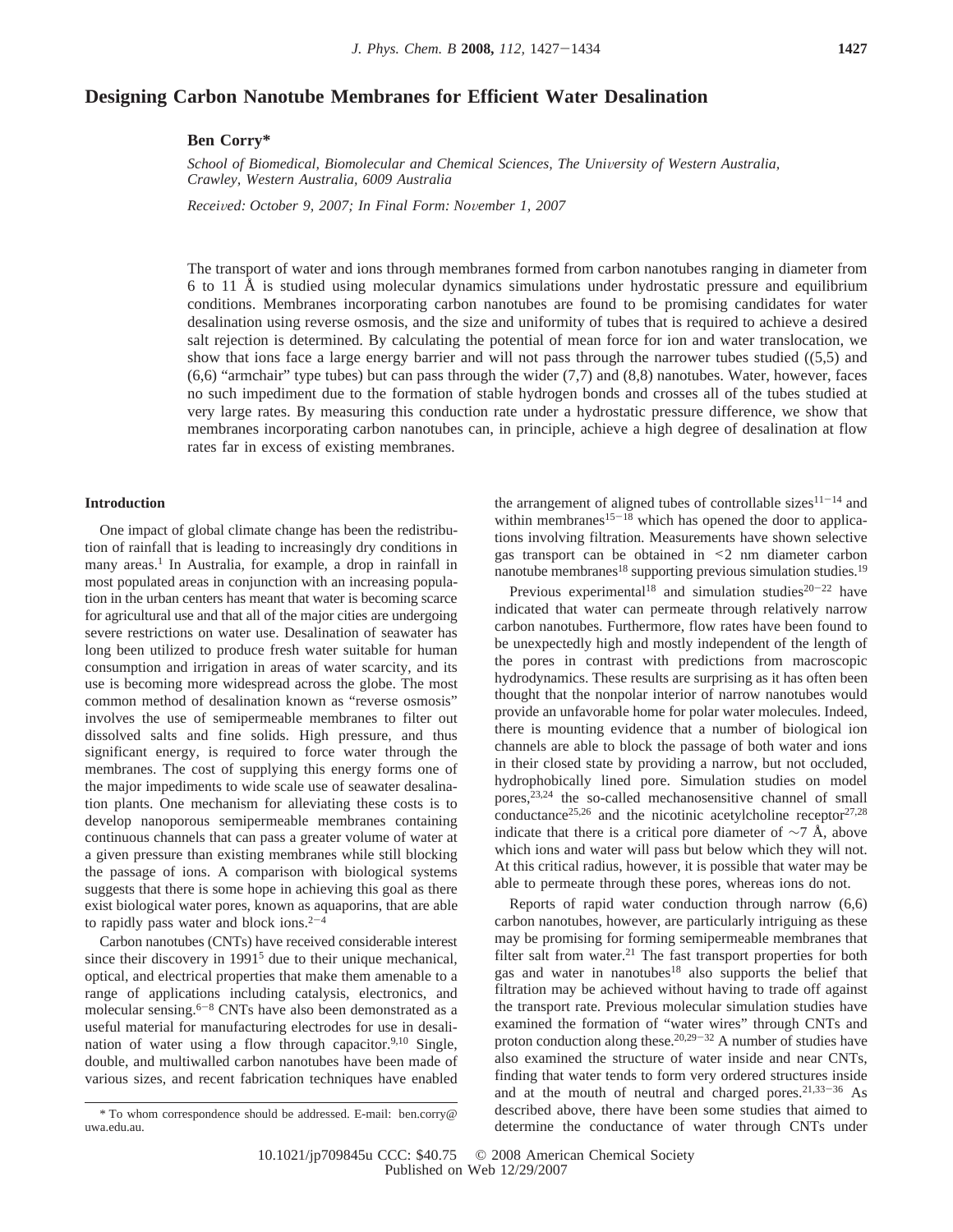# **Designing Carbon Nanotube Membranes for Efficient Water Desalination**

## **Ben Corry\***

*School of Biomedical, Biomolecular and Chemical Sciences, The University of Western Australia, Crawley, Western Australia, 6009 Australia*

*Recei*V*ed: October 9, 2007; In Final Form: No*V*ember 1, 2007*

The transport of water and ions through membranes formed from carbon nanotubes ranging in diameter from 6 to 11 Å is studied using molecular dynamics simulations under hydrostatic pressure and equilibrium conditions. Membranes incorporating carbon nanotubes are found to be promising candidates for water desalination using reverse osmosis, and the size and uniformity of tubes that is required to achieve a desired salt rejection is determined. By calculating the potential of mean force for ion and water translocation, we show that ions face a large energy barrier and will not pass through the narrower tubes studied ((5,5) and (6,6) "armchair" type tubes) but can pass through the wider (7,7) and (8,8) nanotubes. Water, however, faces no such impediment due to the formation of stable hydrogen bonds and crosses all of the tubes studied at very large rates. By measuring this conduction rate under a hydrostatic pressure difference, we show that membranes incorporating carbon nanotubes can, in principle, achieve a high degree of desalination at flow rates far in excess of existing membranes.

### **Introduction**

One impact of global climate change has been the redistribution of rainfall that is leading to increasingly dry conditions in many areas.1 In Australia, for example, a drop in rainfall in most populated areas in conjunction with an increasing population in the urban centers has meant that water is becoming scarce for agricultural use and that all of the major cities are undergoing severe restrictions on water use. Desalination of seawater has long been utilized to produce fresh water suitable for human consumption and irrigation in areas of water scarcity, and its use is becoming more widespread across the globe. The most common method of desalination known as "reverse osmosis" involves the use of semipermeable membranes to filter out dissolved salts and fine solids. High pressure, and thus significant energy, is required to force water through the membranes. The cost of supplying this energy forms one of the major impediments to wide scale use of seawater desalination plants. One mechanism for alleviating these costs is to develop nanoporous semipermeable membranes containing continuous channels that can pass a greater volume of water at a given pressure than existing membranes while still blocking the passage of ions. A comparison with biological systems suggests that there is some hope in achieving this goal as there exist biological water pores, known as aquaporins, that are able to rapidly pass water and block ions. $2^{-4}$ 

Carbon nanotubes (CNTs) have received considerable interest since their discovery in 1991<sup>5</sup> due to their unique mechanical, optical, and electrical properties that make them amenable to a range of applications including catalysis, electronics, and molecular sensing.6-<sup>8</sup> CNTs have also been demonstrated as a useful material for manufacturing electrodes for use in desalination of water using a flow through capacitor.<sup>9,10</sup> Single, double, and multiwalled carbon nanotubes have been made of various sizes, and recent fabrication techniques have enabled

the arrangement of aligned tubes of controllable sizes $11-14$  and within membranes<sup>15-18</sup> which has opened the door to applications involving filtration. Measurements have shown selective gas transport can be obtained in <2 nm diameter carbon nanotube membranes<sup>18</sup> supporting previous simulation studies.<sup>19</sup>

Previous experimental<sup>18</sup> and simulation studies<sup>20-22</sup> have indicated that water can permeate through relatively narrow carbon nanotubes. Furthermore, flow rates have been found to be unexpectedly high and mostly independent of the length of the pores in contrast with predictions from macroscopic hydrodynamics. These results are surprising as it has often been thought that the nonpolar interior of narrow nanotubes would provide an unfavorable home for polar water molecules. Indeed, there is mounting evidence that a number of biological ion channels are able to block the passage of both water and ions in their closed state by providing a narrow, but not occluded, hydrophobically lined pore. Simulation studies on model pores, $23,24$  the so-called mechanosensitive channel of small conductance<sup>25,26</sup> and the nicotinic acetylcholine receptor<sup>27,28</sup> indicate that there is a critical pore diameter of  $\sim$ 7 Å, above which ions and water will pass but below which they will not. At this critical radius, however, it is possible that water may be able to permeate through these pores, whereas ions do not.

Reports of rapid water conduction through narrow (6,6) carbon nanotubes, however, are particularly intriguing as these may be promising for forming semipermeable membranes that filter salt from water.<sup>21</sup> The fast transport properties for both gas and water in nanotubes<sup>18</sup> also supports the belief that filtration may be achieved without having to trade off against the transport rate. Previous molecular simulation studies have examined the formation of "water wires" through CNTs and proton conduction along these.20,29-<sup>32</sup> A number of studies have also examined the structure of water inside and near CNTs, finding that water tends to form very ordered structures inside and at the mouth of neutral and charged pores. $21,33-36$  As described above, there have been some studies that aimed to determine the conductance of water through CNTs under

<sup>\*</sup> To whom correspondence should be addressed. E-mail: ben.corry@ uwa.edu.au.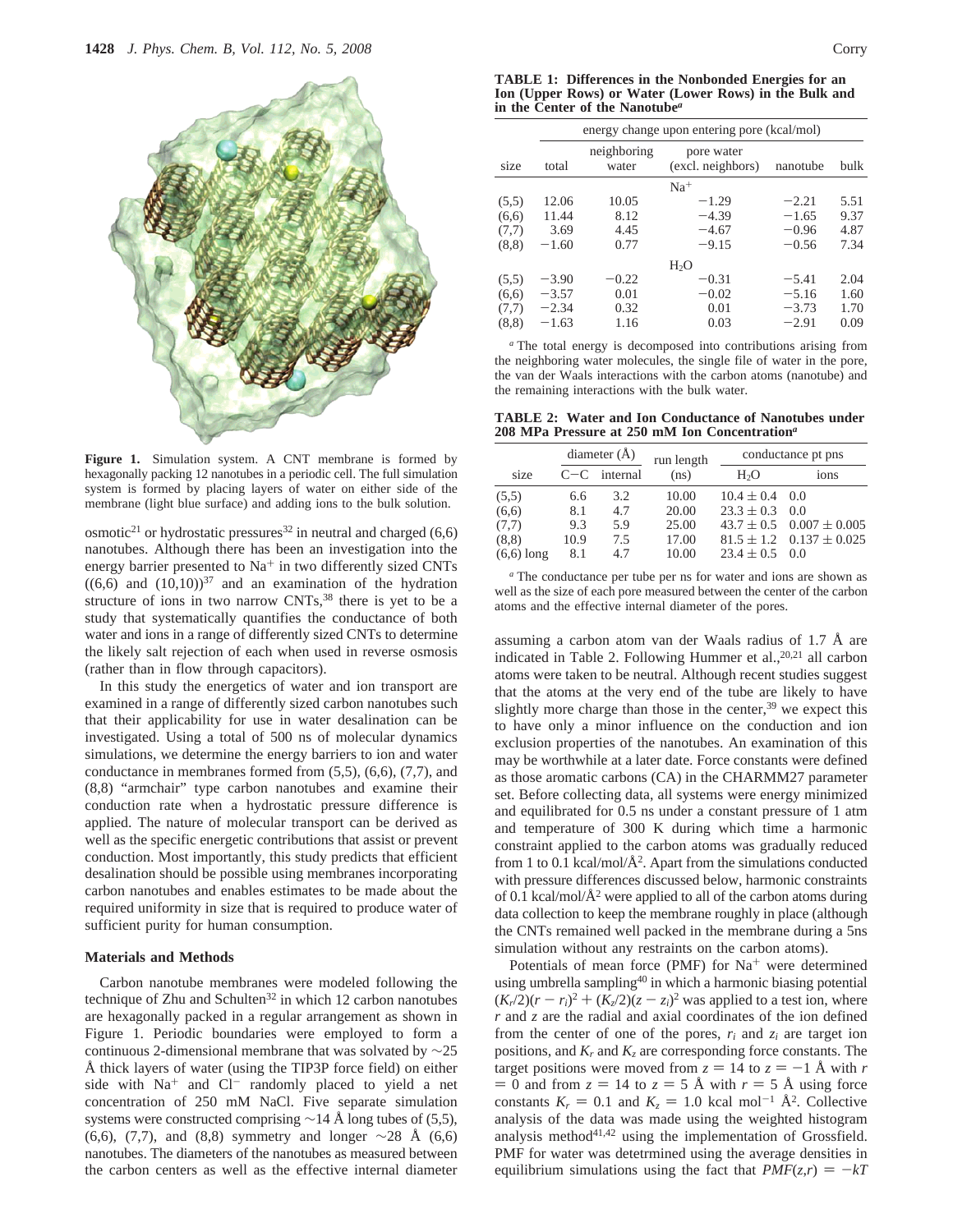

**Figure 1.** Simulation system. A CNT membrane is formed by hexagonally packing 12 nanotubes in a periodic cell. The full simulation system is formed by placing layers of water on either side of the membrane (light blue surface) and adding ions to the bulk solution.

osmotic<sup>21</sup> or hydrostatic pressures<sup>32</sup> in neutral and charged  $(6,6)$ nanotubes. Although there has been an investigation into the energy barrier presented to  $Na<sup>+</sup>$  in two differently sized CNTs  $((6,6)$  and  $(10,10))^{37}$  and an examination of the hydration structure of ions in two narrow  $CNTs$ ,<sup>38</sup> there is yet to be a study that systematically quantifies the conductance of both water and ions in a range of differently sized CNTs to determine the likely salt rejection of each when used in reverse osmosis (rather than in flow through capacitors).

In this study the energetics of water and ion transport are examined in a range of differently sized carbon nanotubes such that their applicability for use in water desalination can be investigated. Using a total of 500 ns of molecular dynamics simulations, we determine the energy barriers to ion and water conductance in membranes formed from (5,5), (6,6), (7,7), and (8,8) "armchair" type carbon nanotubes and examine their conduction rate when a hydrostatic pressure difference is applied. The nature of molecular transport can be derived as well as the specific energetic contributions that assist or prevent conduction. Most importantly, this study predicts that efficient desalination should be possible using membranes incorporating carbon nanotubes and enables estimates to be made about the required uniformity in size that is required to produce water of sufficient purity for human consumption.

### **Materials and Methods**

Carbon nanotube membranes were modeled following the technique of Zhu and Schulten<sup>32</sup> in which 12 carbon nanotubes are hexagonally packed in a regular arrangement as shown in Figure 1. Periodic boundaries were employed to form a continuous 2-dimensional membrane that was solvated by ∼25 Å thick layers of water (using the TIP3P force field) on either side with  $Na<sup>+</sup>$  and  $Cl<sup>-</sup>$  randomly placed to yield a net concentration of 250 mM NaCl. Five separate simulation systems were constructed comprising ∼14 Å long tubes of (5,5), (6,6), (7,7), and (8,8) symmetry and longer  $\sim$ 28 Å (6,6) nanotubes. The diameters of the nanotubes as measured between the carbon centers as well as the effective internal diameter

**TABLE 1: Differences in the Nonbonded Energies for an Ion (Upper Rows) or Water (Lower Rows) in the Bulk and in the Center of the Nanotube***<sup>a</sup>*

|       |         | energy change upon entering pore (kcal/mol) |                                 |          |      |  |  |  |  |
|-------|---------|---------------------------------------------|---------------------------------|----------|------|--|--|--|--|
| size  | total   | neighboring<br>water                        | pore water<br>(excl. neighbors) | nanotube | bulk |  |  |  |  |
|       |         |                                             | $Na+$                           |          |      |  |  |  |  |
| (5,5) | 12.06   | 10.05                                       | $-1.29$                         | $-2.21$  | 5.51 |  |  |  |  |
| (6,6) | 11.44   | 8.12                                        | $-4.39$                         | $-1.65$  | 9.37 |  |  |  |  |
| (7,7) | 3.69    | 4.45                                        | $-4.67$                         | $-0.96$  | 4.87 |  |  |  |  |
| (8,8) | $-1.60$ | 0.77                                        | $-9.15$                         | $-0.56$  | 7.34 |  |  |  |  |
|       |         |                                             | H <sub>2</sub> O                |          |      |  |  |  |  |
| (5,5) | $-3.90$ | $-0.22$                                     | $-0.31$                         | $-5.41$  | 2.04 |  |  |  |  |
| (6,6) | $-3.57$ | 0.01                                        | $-0.02$                         | $-5.16$  | 1.60 |  |  |  |  |
| (7,7) | $-2.34$ | 0.32                                        | 0.01                            | $-3.73$  | 1.70 |  |  |  |  |
| (8,8) | $-1.63$ | 1.16                                        | 0.03                            | $-2.91$  | 0.09 |  |  |  |  |
|       |         |                                             |                                 |          |      |  |  |  |  |

*<sup>a</sup>* The total energy is decomposed into contributions arising from the neighboring water molecules, the single file of water in the pore, the van der Waals interactions with the carbon atoms (nanotube) and the remaining interactions with the bulk water.

**TABLE 2: Water and Ion Conductance of Nanotubes under 208 MPa Pressure at 250 mM Ion Concentration***<sup>a</sup>*

|              | diameter $(\AA)$ |          | run length | conductance pt pns |                   |
|--------------|------------------|----------|------------|--------------------|-------------------|
| size         | $C-C$            | internal | (ns)       | H <sub>2</sub> O   | ions              |
| (5,5)        | 6.6              | 3.2      | 10.00      | $10.4 \pm 0.4$     | 0.0               |
| (6,6)        | 8.1              | 4.7      | 20.00      | $23.3 \pm 0.3$     | 0.0               |
| (7,7)        | 9.3              | 5.9      | 25.00      | $43.7 \pm 0.5$     | $0.007 \pm 0.005$ |
| (8, 8)       | 10.9             | 7.5      | 17.00      | $81.5 \pm 1.2$     | $0.137 \pm 0.025$ |
| $(6,6)$ long | 8.1              | 4.7      | 10.00      | $23.4 \pm 0.5$     | 0.0               |

*<sup>a</sup>* The conductance per tube per ns for water and ions are shown as well as the size of each pore measured between the center of the carbon atoms and the effective internal diameter of the pores.

assuming a carbon atom van der Waals radius of 1.7 Å are indicated in Table 2. Following Hummer et al.,<sup>20,21</sup> all carbon atoms were taken to be neutral. Although recent studies suggest that the atoms at the very end of the tube are likely to have slightly more charge than those in the center, $39$  we expect this to have only a minor influence on the conduction and ion exclusion properties of the nanotubes. An examination of this may be worthwhile at a later date. Force constants were defined as those aromatic carbons (CA) in the CHARMM27 parameter set. Before collecting data, all systems were energy minimized and equilibrated for 0.5 ns under a constant pressure of 1 atm and temperature of 300 K during which time a harmonic constraint applied to the carbon atoms was gradually reduced from 1 to 0.1 kcal/mol/ $\AA^2$ . Apart from the simulations conducted with pressure differences discussed below, harmonic constraints of 0.1 kcal/mol/ $\AA^2$  were applied to all of the carbon atoms during data collection to keep the membrane roughly in place (although the CNTs remained well packed in the membrane during a 5ns simulation without any restraints on the carbon atoms).

Potentials of mean force (PMF) for  $Na<sup>+</sup>$  were determined using umbrella sampling<sup>40</sup> in which a harmonic biasing potential  $(K_{r}/2)(r - r_{i})^{2} + (K_{z}/2)(z - z_{i})^{2}$  was applied to a test ion, where *r* and *z* are the radial and axial coordinates of the ion defined from the center of one of the pores,  $r_i$  and  $z_i$  are target ion positions, and  $K_r$  and  $K_z$  are corresponding force constants. The target positions were moved from  $z = 14$  to  $z = -1$  Å with *r*  $= 0$  and from  $z = 14$  to  $z = 5$  Å with  $r = 5$  Å using force constants  $K_r = 0.1$  and  $K_z = 1.0$  kcal mol<sup>-1</sup> Å<sup>2</sup>. Collective analysis of the data was made using the weighted histogram analysis method<sup>41,42</sup> using the implementation of Grossfield. PMF for water was detetrmined using the average densities in equilibrium simulations using the fact that  $PMF(z,r) = -kT$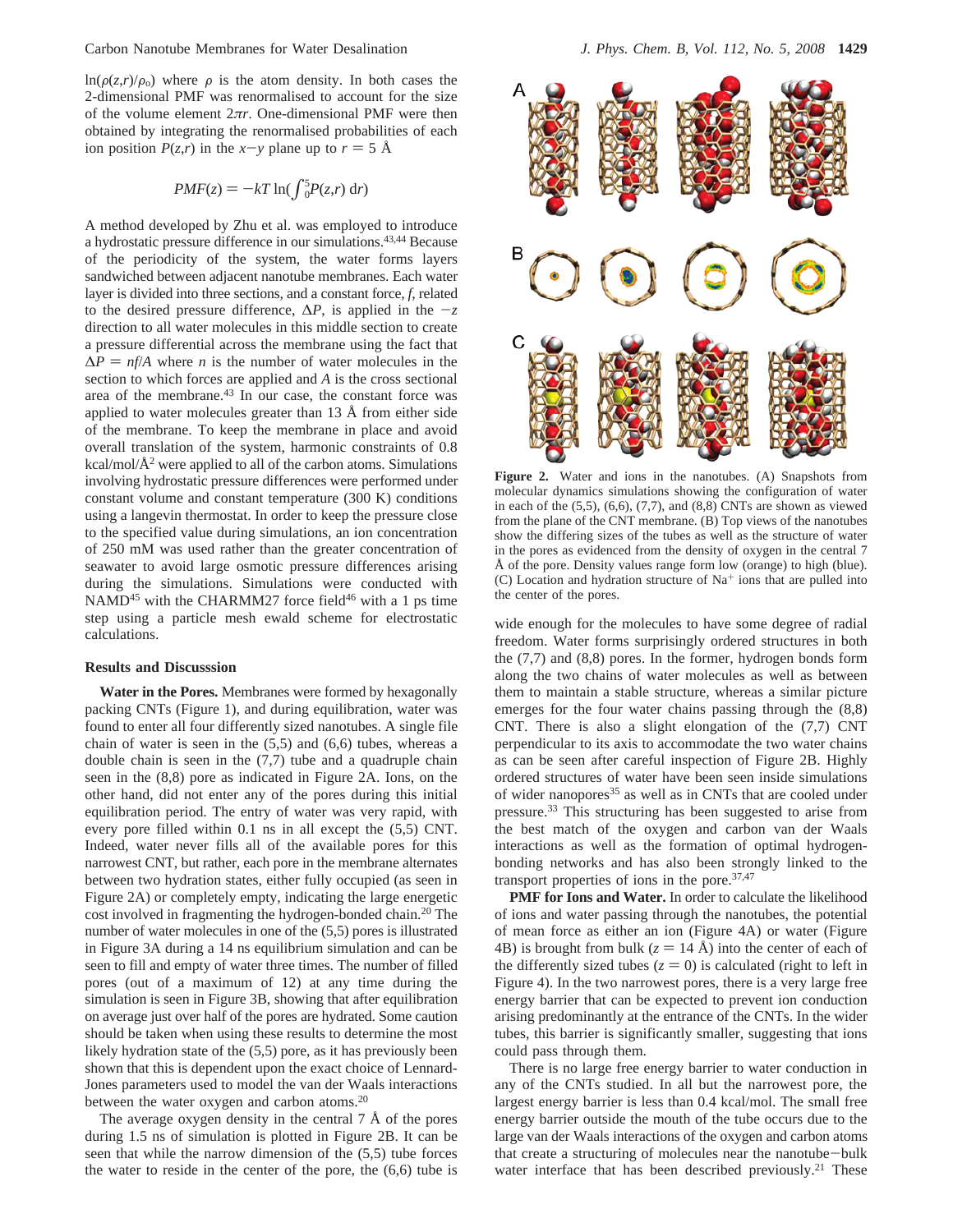$ln(\rho(z,r)/\rho_0)$  where  $\rho$  is the atom density. In both cases the 2-dimensional PMF was renormalised to account for the size of the volume element 2*πr*. One-dimensional PMF were then obtained by integrating the renormalised probabilities of each ion position  $P(z,r)$  in the  $x-y$  plane up to  $r = 5$  Å

$$
PMF(z) = -kT \ln(\int_0^5 P(z,r) \, dr)
$$

A method developed by Zhu et al. was employed to introduce a hydrostatic pressure difference in our simulations.43,44 Because of the periodicity of the system, the water forms layers sandwiched between adjacent nanotube membranes. Each water layer is divided into three sections, and a constant force, *f*, related to the desired pressure difference,  $\Delta P$ , is applied in the  $-z$ . direction to all water molecules in this middle section to create a pressure differential across the membrane using the fact that  $\Delta P = nf/A$  where *n* is the number of water molecules in the section to which forces are applied and *A* is the cross sectional area of the membrane.43 In our case, the constant force was applied to water molecules greater than 13 Å from either side of the membrane. To keep the membrane in place and avoid overall translation of the system, harmonic constraints of 0.8 kcal/mol/ $A^2$  were applied to all of the carbon atoms. Simulations involving hydrostatic pressure differences were performed under constant volume and constant temperature (300 K) conditions using a langevin thermostat. In order to keep the pressure close to the specified value during simulations, an ion concentration of 250 mM was used rather than the greater concentration of seawater to avoid large osmotic pressure differences arising during the simulations. Simulations were conducted with NAMD<sup>45</sup> with the CHARMM27 force field<sup>46</sup> with a 1 ps time step using a particle mesh ewald scheme for electrostatic calculations.

## **Results and Discusssion**

**Water in the Pores.** Membranes were formed by hexagonally packing CNTs (Figure 1), and during equilibration, water was found to enter all four differently sized nanotubes. A single file chain of water is seen in the  $(5,5)$  and  $(6,6)$  tubes, whereas a double chain is seen in the  $(7,7)$  tube and a quadruple chain seen in the (8,8) pore as indicated in Figure 2A. Ions, on the other hand, did not enter any of the pores during this initial equilibration period. The entry of water was very rapid, with every pore filled within 0.1 ns in all except the (5,5) CNT. Indeed, water never fills all of the available pores for this narrowest CNT, but rather, each pore in the membrane alternates between two hydration states, either fully occupied (as seen in Figure 2A) or completely empty, indicating the large energetic cost involved in fragmenting the hydrogen-bonded chain.<sup>20</sup> The number of water molecules in one of the (5,5) pores is illustrated in Figure 3A during a 14 ns equilibrium simulation and can be seen to fill and empty of water three times. The number of filled pores (out of a maximum of 12) at any time during the simulation is seen in Figure 3B, showing that after equilibration on average just over half of the pores are hydrated. Some caution should be taken when using these results to determine the most likely hydration state of the (5,5) pore, as it has previously been shown that this is dependent upon the exact choice of Lennard-Jones parameters used to model the van der Waals interactions between the water oxygen and carbon atoms.<sup>20</sup>

The average oxygen density in the central  $7 \text{ Å}$  of the pores during 1.5 ns of simulation is plotted in Figure 2B. It can be seen that while the narrow dimension of the (5,5) tube forces the water to reside in the center of the pore, the (6,6) tube is



**Figure 2.** Water and ions in the nanotubes. (A) Snapshots from molecular dynamics simulations showing the configuration of water in each of the  $(5,5)$ ,  $(6,6)$ ,  $(7,7)$ , and  $(8,8)$  CNTs are shown as viewed from the plane of the CNT membrane. (B) Top views of the nanotubes show the differing sizes of the tubes as well as the structure of water in the pores as evidenced from the density of oxygen in the central 7 Å of the pore. Density values range form low (orange) to high (blue). (C) Location and hydration structure of  $Na<sup>+</sup>$  ions that are pulled into the center of the pores.

wide enough for the molecules to have some degree of radial freedom. Water forms surprisingly ordered structures in both the (7,7) and (8,8) pores. In the former, hydrogen bonds form along the two chains of water molecules as well as between them to maintain a stable structure, whereas a similar picture emerges for the four water chains passing through the (8,8) CNT. There is also a slight elongation of the (7,7) CNT perpendicular to its axis to accommodate the two water chains as can be seen after careful inspection of Figure 2B. Highly ordered structures of water have been seen inside simulations of wider nanopores<sup>35</sup> as well as in CNTs that are cooled under pressure.33 This structuring has been suggested to arise from the best match of the oxygen and carbon van der Waals interactions as well as the formation of optimal hydrogenbonding networks and has also been strongly linked to the transport properties of ions in the pore.37,47

**PMF for Ions and Water.** In order to calculate the likelihood of ions and water passing through the nanotubes, the potential of mean force as either an ion (Figure 4A) or water (Figure 4B) is brought from bulk  $(z = 14 \text{ Å})$  into the center of each of the differently sized tubes  $(z = 0)$  is calculated (right to left in Figure 4). In the two narrowest pores, there is a very large free energy barrier that can be expected to prevent ion conduction arising predominantly at the entrance of the CNTs. In the wider tubes, this barrier is significantly smaller, suggesting that ions could pass through them.

There is no large free energy barrier to water conduction in any of the CNTs studied. In all but the narrowest pore, the largest energy barrier is less than 0.4 kcal/mol. The small free energy barrier outside the mouth of the tube occurs due to the large van der Waals interactions of the oxygen and carbon atoms that create a structuring of molecules near the nanotube-bulk water interface that has been described previously.<sup>21</sup> These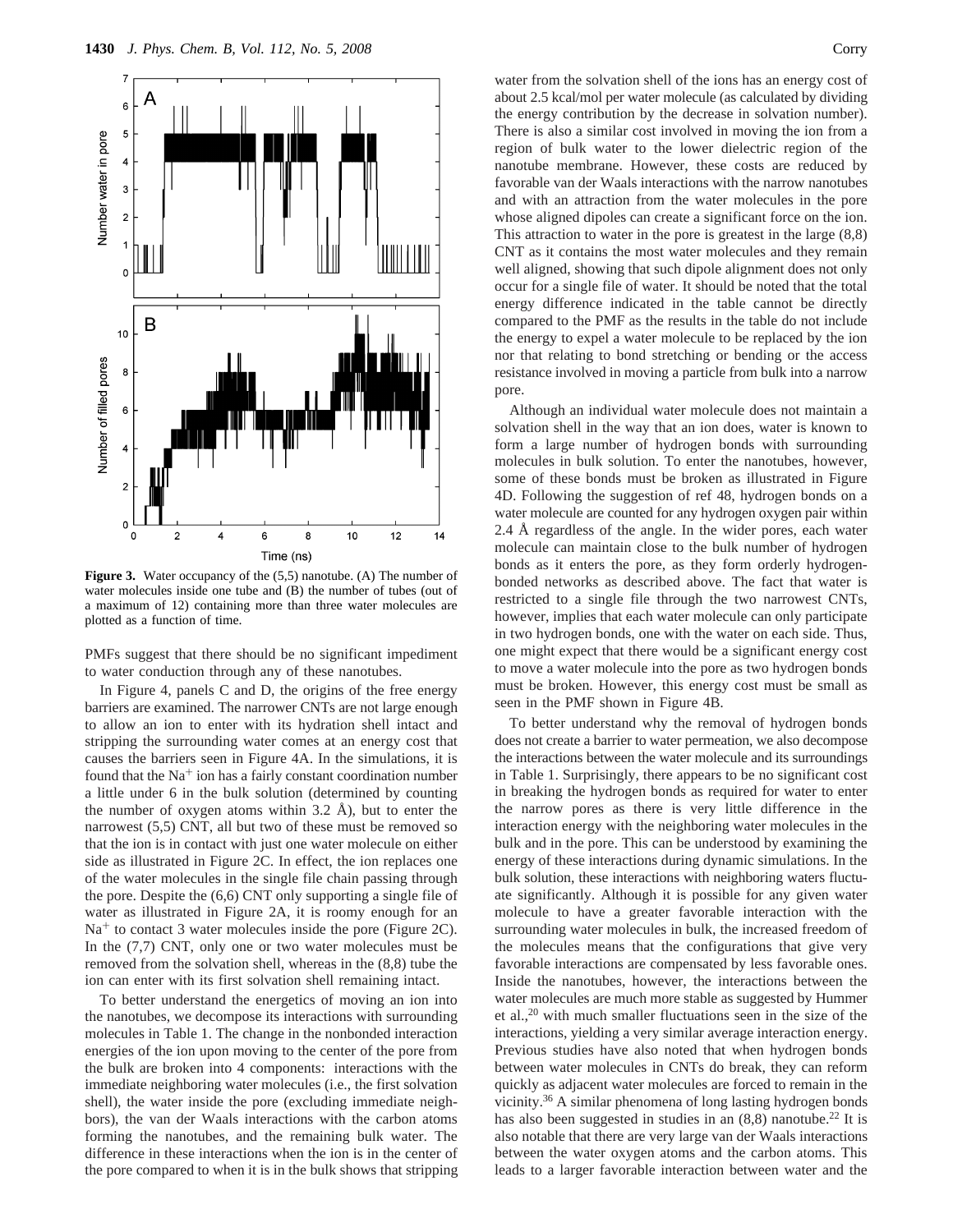

**Figure 3.** Water occupancy of the  $(5,5)$  nanotube. (A) The number of water molecules inside one tube and (B) the number of tubes (out of a maximum of 12) containing more than three water molecules are plotted as a function of time.

PMFs suggest that there should be no significant impediment to water conduction through any of these nanotubes.

In Figure 4, panels C and D, the origins of the free energy barriers are examined. The narrower CNTs are not large enough to allow an ion to enter with its hydration shell intact and stripping the surrounding water comes at an energy cost that causes the barriers seen in Figure 4A. In the simulations, it is found that the  $Na<sup>+</sup>$  ion has a fairly constant coordination number a little under 6 in the bulk solution (determined by counting the number of oxygen atoms within  $3.2 \text{ Å}$ ), but to enter the narrowest (5,5) CNT, all but two of these must be removed so that the ion is in contact with just one water molecule on either side as illustrated in Figure 2C. In effect, the ion replaces one of the water molecules in the single file chain passing through the pore. Despite the (6,6) CNT only supporting a single file of water as illustrated in Figure 2A, it is roomy enough for an  $Na<sup>+</sup>$  to contact 3 water molecules inside the pore (Figure 2C). In the (7,7) CNT, only one or two water molecules must be removed from the solvation shell, whereas in the (8,8) tube the ion can enter with its first solvation shell remaining intact.

To better understand the energetics of moving an ion into the nanotubes, we decompose its interactions with surrounding molecules in Table 1. The change in the nonbonded interaction energies of the ion upon moving to the center of the pore from the bulk are broken into 4 components: interactions with the immediate neighboring water molecules (i.e., the first solvation shell), the water inside the pore (excluding immediate neighbors), the van der Waals interactions with the carbon atoms forming the nanotubes, and the remaining bulk water. The difference in these interactions when the ion is in the center of the pore compared to when it is in the bulk shows that stripping

water from the solvation shell of the ions has an energy cost of about 2.5 kcal/mol per water molecule (as calculated by dividing the energy contribution by the decrease in solvation number). There is also a similar cost involved in moving the ion from a region of bulk water to the lower dielectric region of the nanotube membrane. However, these costs are reduced by favorable van der Waals interactions with the narrow nanotubes and with an attraction from the water molecules in the pore whose aligned dipoles can create a significant force on the ion. This attraction to water in the pore is greatest in the large (8,8) CNT as it contains the most water molecules and they remain well aligned, showing that such dipole alignment does not only occur for a single file of water. It should be noted that the total energy difference indicated in the table cannot be directly compared to the PMF as the results in the table do not include the energy to expel a water molecule to be replaced by the ion nor that relating to bond stretching or bending or the access resistance involved in moving a particle from bulk into a narrow pore.

Although an individual water molecule does not maintain a solvation shell in the way that an ion does, water is known to form a large number of hydrogen bonds with surrounding molecules in bulk solution. To enter the nanotubes, however, some of these bonds must be broken as illustrated in Figure 4D. Following the suggestion of ref 48, hydrogen bonds on a water molecule are counted for any hydrogen oxygen pair within 2.4 Å regardless of the angle. In the wider pores, each water molecule can maintain close to the bulk number of hydrogen bonds as it enters the pore, as they form orderly hydrogenbonded networks as described above. The fact that water is restricted to a single file through the two narrowest CNTs, however, implies that each water molecule can only participate in two hydrogen bonds, one with the water on each side. Thus, one might expect that there would be a significant energy cost to move a water molecule into the pore as two hydrogen bonds must be broken. However, this energy cost must be small as seen in the PMF shown in Figure 4B.

To better understand why the removal of hydrogen bonds does not create a barrier to water permeation, we also decompose the interactions between the water molecule and its surroundings in Table 1. Surprisingly, there appears to be no significant cost in breaking the hydrogen bonds as required for water to enter the narrow pores as there is very little difference in the interaction energy with the neighboring water molecules in the bulk and in the pore. This can be understood by examining the energy of these interactions during dynamic simulations. In the bulk solution, these interactions with neighboring waters fluctuate significantly. Although it is possible for any given water molecule to have a greater favorable interaction with the surrounding water molecules in bulk, the increased freedom of the molecules means that the configurations that give very favorable interactions are compensated by less favorable ones. Inside the nanotubes, however, the interactions between the water molecules are much more stable as suggested by Hummer et al.,20 with much smaller fluctuations seen in the size of the interactions, yielding a very similar average interaction energy. Previous studies have also noted that when hydrogen bonds between water molecules in CNTs do break, they can reform quickly as adjacent water molecules are forced to remain in the vicinity.36 A similar phenomena of long lasting hydrogen bonds has also been suggested in studies in an  $(8,8)$  nanotube.<sup>22</sup> It is also notable that there are very large van der Waals interactions between the water oxygen atoms and the carbon atoms. This leads to a larger favorable interaction between water and the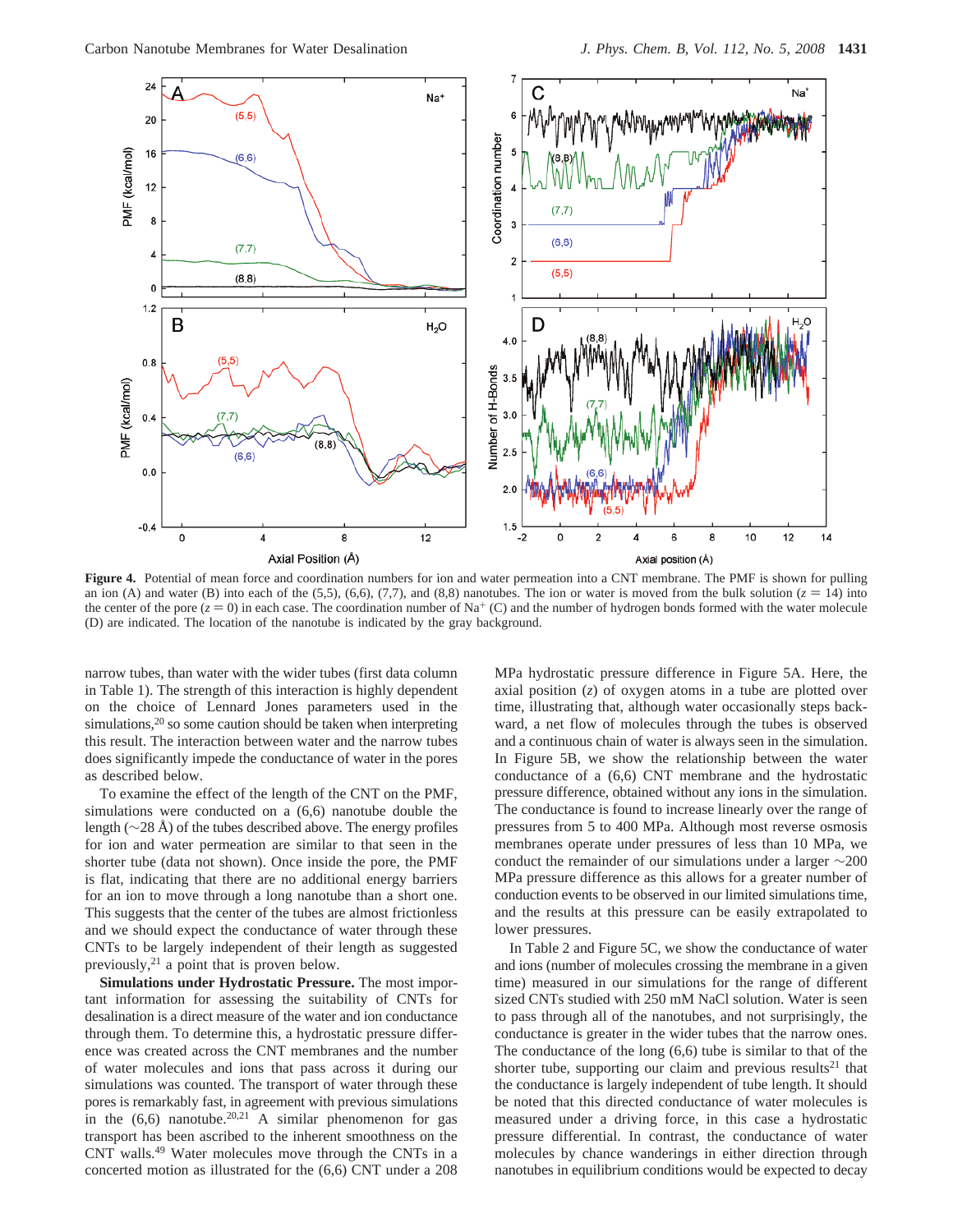

**Figure 4.** Potential of mean force and coordination numbers for ion and water permeation into a CNT membrane. The PMF is shown for pulling an ion (A) and water (B) into each of the (5,5), (6,6), (7,7), and (8,8) nanotubes. The ion or water is moved from the bulk solution ( $z = 14$ ) into the center of the pore ( $z = 0$ ) in each case. The coordination number of Na<sup>+</sup> (C) and the number of hydrogen bonds formed with the water molecule (D) are indicated. The location of the nanotube is indicated by the gray background.

narrow tubes, than water with the wider tubes (first data column in Table 1). The strength of this interaction is highly dependent on the choice of Lennard Jones parameters used in the simulations,<sup>20</sup> so some caution should be taken when interpreting this result. The interaction between water and the narrow tubes does significantly impede the conductance of water in the pores as described below.

To examine the effect of the length of the CNT on the PMF, simulations were conducted on a (6,6) nanotube double the length (∼28 Å) of the tubes described above. The energy profiles for ion and water permeation are similar to that seen in the shorter tube (data not shown). Once inside the pore, the PMF is flat, indicating that there are no additional energy barriers for an ion to move through a long nanotube than a short one. This suggests that the center of the tubes are almost frictionless and we should expect the conductance of water through these CNTs to be largely independent of their length as suggested previously,  $2<sup>1</sup>$  a point that is proven below.

**Simulations under Hydrostatic Pressure.** The most important information for assessing the suitability of CNTs for desalination is a direct measure of the water and ion conductance through them. To determine this, a hydrostatic pressure difference was created across the CNT membranes and the number of water molecules and ions that pass across it during our simulations was counted. The transport of water through these pores is remarkably fast, in agreement with previous simulations in the  $(6,6)$  nanotube.<sup>20,21</sup> A similar phenomenon for gas transport has been ascribed to the inherent smoothness on the CNT walls.49 Water molecules move through the CNTs in a concerted motion as illustrated for the (6,6) CNT under a 208 MPa hydrostatic pressure difference in Figure 5A. Here, the axial position (*z*) of oxygen atoms in a tube are plotted over time, illustrating that, although water occasionally steps backward, a net flow of molecules through the tubes is observed and a continuous chain of water is always seen in the simulation. In Figure 5B, we show the relationship between the water conductance of a (6,6) CNT membrane and the hydrostatic pressure difference, obtained without any ions in the simulation. The conductance is found to increase linearly over the range of pressures from 5 to 400 MPa. Although most reverse osmosis membranes operate under pressures of less than 10 MPa, we conduct the remainder of our simulations under a larger ∼200 MPa pressure difference as this allows for a greater number of conduction events to be observed in our limited simulations time, and the results at this pressure can be easily extrapolated to lower pressures.

In Table 2 and Figure 5C, we show the conductance of water and ions (number of molecules crossing the membrane in a given time) measured in our simulations for the range of different sized CNTs studied with 250 mM NaCl solution. Water is seen to pass through all of the nanotubes, and not surprisingly, the conductance is greater in the wider tubes that the narrow ones. The conductance of the long (6,6) tube is similar to that of the shorter tube, supporting our claim and previous results<sup>21</sup> that the conductance is largely independent of tube length. It should be noted that this directed conductance of water molecules is measured under a driving force, in this case a hydrostatic pressure differential. In contrast, the conductance of water molecules by chance wanderings in either direction through nanotubes in equilibrium conditions would be expected to decay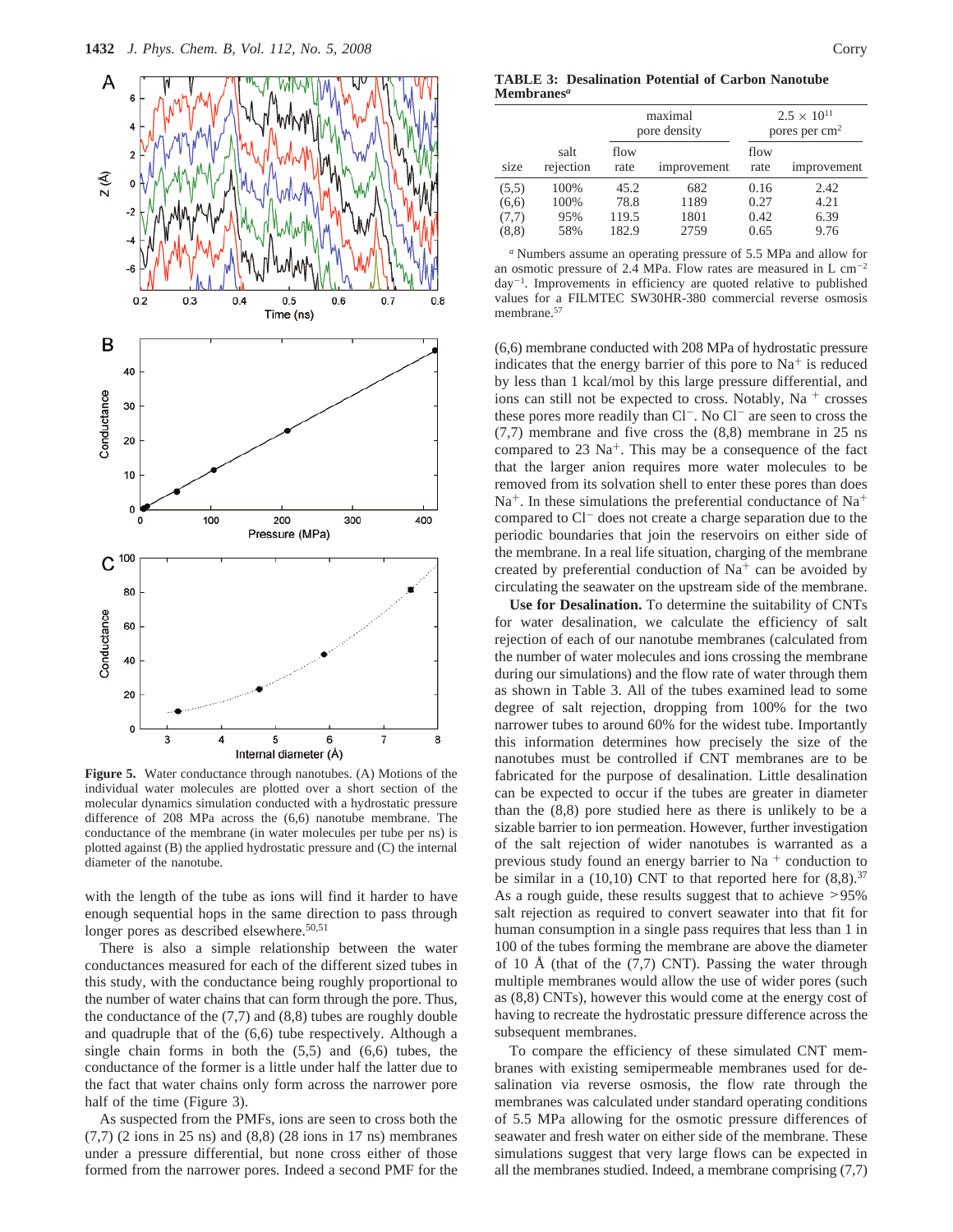

**Figure 5.** Water conductance through nanotubes. (A) Motions of the individual water molecules are plotted over a short section of the molecular dynamics simulation conducted with a hydrostatic pressure difference of 208 MPa across the (6,6) nanotube membrane. The conductance of the membrane (in water molecules per tube per ns) is plotted against (B) the applied hydrostatic pressure and (C) the internal diameter of the nanotube.

with the length of the tube as ions will find it harder to have enough sequential hops in the same direction to pass through longer pores as described elsewhere.<sup>50,51</sup>

There is also a simple relationship between the water conductances measured for each of the different sized tubes in this study, with the conductance being roughly proportional to the number of water chains that can form through the pore. Thus, the conductance of the  $(7,7)$  and  $(8,8)$  tubes are roughly double and quadruple that of the (6,6) tube respectively. Although a single chain forms in both the  $(5,5)$  and  $(6,6)$  tubes, the conductance of the former is a little under half the latter due to the fact that water chains only form across the narrower pore half of the time (Figure 3).

As suspected from the PMFs, ions are seen to cross both the (7,7) (2 ions in 25 ns) and (8,8) (28 ions in 17 ns) membranes under a pressure differential, but none cross either of those formed from the narrower pores. Indeed a second PMF for the

**TABLE 3: Desalination Potential of Carbon Nanotube Membranes***<sup>a</sup>*

|                                   |                            | maximal<br>pore density        |                             | $2.5 \times 10^{11}$<br>pores per $cm2$ |                              |
|-----------------------------------|----------------------------|--------------------------------|-----------------------------|-----------------------------------------|------------------------------|
| size                              | salt<br>rejection          | flow<br>rate                   | improvement                 | flow<br>rate                            | improvement                  |
| (5,5)<br>(6,6)<br>(7,7)<br>(8, 8) | 100%<br>100%<br>95%<br>58% | 45.2<br>78.8<br>119.5<br>182.9 | 682<br>1189<br>1801<br>2759 | 0.16<br>0.27<br>0.42<br>0.65            | 2.42<br>4.21<br>6.39<br>9.76 |

*<sup>a</sup>* Numbers assume an operating pressure of 5.5 MPa and allow for an osmotic pressure of 2.4 MPa. Flow rates are measured in  $L \text{ cm}^{-2}$ day-1. Improvements in efficiency are quoted relative to published values for a FILMTEC SW30HR-380 commercial reverse osmosis membrane.<sup>57</sup>

(6,6) membrane conducted with 208 MPa of hydrostatic pressure indicates that the energy barrier of this pore to  $Na<sup>+</sup>$  is reduced by less than 1 kcal/mol by this large pressure differential, and ions can still not be expected to cross. Notably, Na  $^+$  crosses these pores more readily than  $Cl^-$ . No  $Cl^-$  are seen to cross the (7,7) membrane and five cross the (8,8) membrane in 25 ns compared to 23 Na<sup>+</sup>. This may be a consequence of the fact that the larger anion requires more water molecules to be removed from its solvation shell to enter these pores than does  $Na<sup>+</sup>$ . In these simulations the preferential conductance of  $Na<sup>+</sup>$ compared to  $Cl^-$  does not create a charge separation due to the periodic boundaries that join the reservoirs on either side of the membrane. In a real life situation, charging of the membrane created by preferential conduction of  $Na<sup>+</sup>$  can be avoided by circulating the seawater on the upstream side of the membrane.

**Use for Desalination.** To determine the suitability of CNTs for water desalination, we calculate the efficiency of salt rejection of each of our nanotube membranes (calculated from the number of water molecules and ions crossing the membrane during our simulations) and the flow rate of water through them as shown in Table 3. All of the tubes examined lead to some degree of salt rejection, dropping from 100% for the two narrower tubes to around 60% for the widest tube. Importantly this information determines how precisely the size of the nanotubes must be controlled if CNT membranes are to be fabricated for the purpose of desalination. Little desalination can be expected to occur if the tubes are greater in diameter than the (8,8) pore studied here as there is unlikely to be a sizable barrier to ion permeation. However, further investigation of the salt rejection of wider nanotubes is warranted as a previous study found an energy barrier to Na  $^+$  conduction to be similar in a (10,10) CNT to that reported here for  $(8,8)$ .<sup>37</sup> As a rough guide, these results suggest that to achieve >95% salt rejection as required to convert seawater into that fit for human consumption in a single pass requires that less than 1 in 100 of the tubes forming the membrane are above the diameter of 10 Å (that of the  $(7,7)$  CNT). Passing the water through multiple membranes would allow the use of wider pores (such as (8,8) CNTs), however this would come at the energy cost of having to recreate the hydrostatic pressure difference across the subsequent membranes.

To compare the efficiency of these simulated CNT membranes with existing semipermeable membranes used for desalination via reverse osmosis, the flow rate through the membranes was calculated under standard operating conditions of 5.5 MPa allowing for the osmotic pressure differences of seawater and fresh water on either side of the membrane. These simulations suggest that very large flows can be expected in all the membranes studied. Indeed, a membrane comprising (7,7)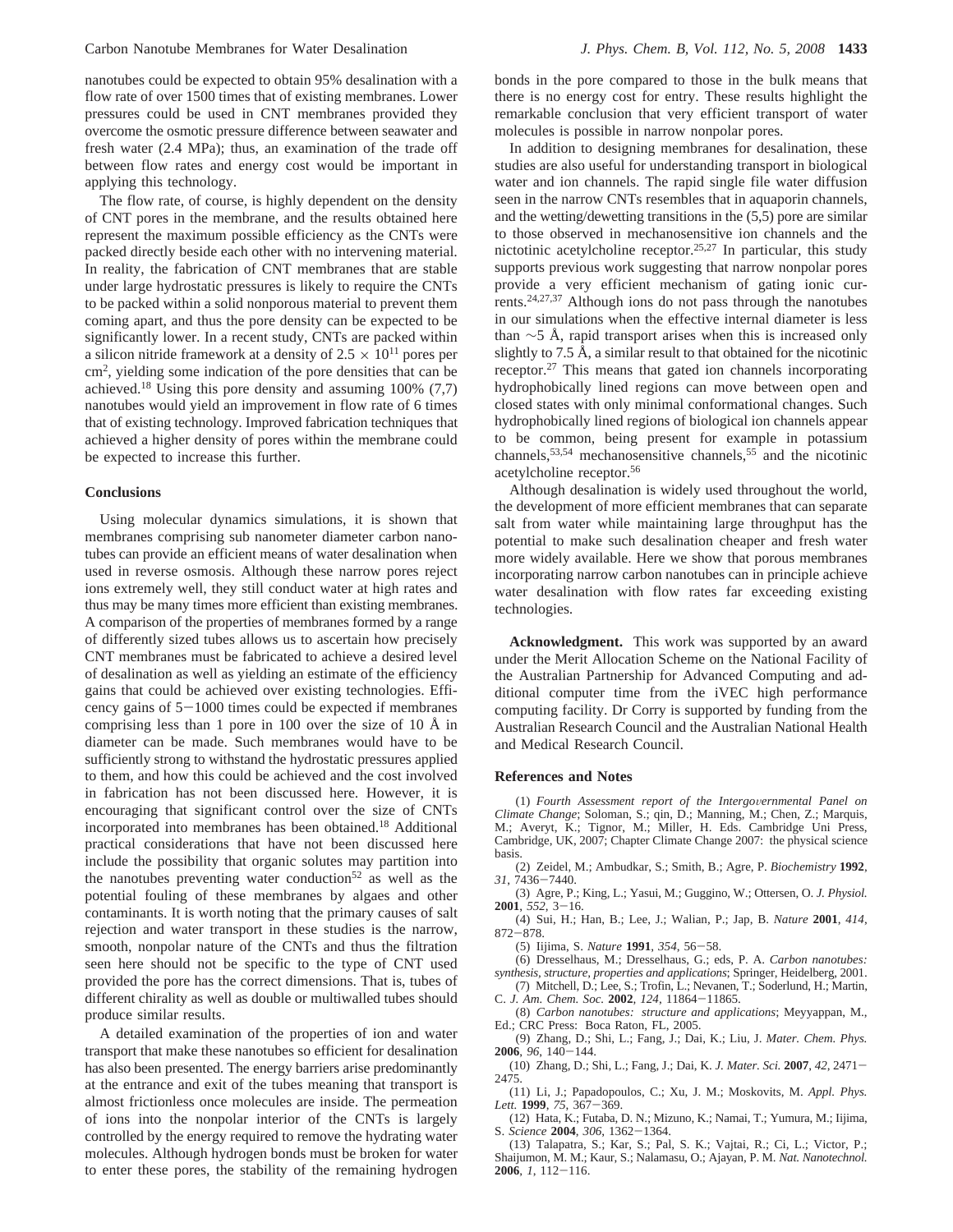nanotubes could be expected to obtain 95% desalination with a flow rate of over 1500 times that of existing membranes. Lower pressures could be used in CNT membranes provided they overcome the osmotic pressure difference between seawater and fresh water (2.4 MPa); thus, an examination of the trade off between flow rates and energy cost would be important in applying this technology.

The flow rate, of course, is highly dependent on the density of CNT pores in the membrane, and the results obtained here represent the maximum possible efficiency as the CNTs were packed directly beside each other with no intervening material. In reality, the fabrication of CNT membranes that are stable under large hydrostatic pressures is likely to require the CNTs to be packed within a solid nonporous material to prevent them coming apart, and thus the pore density can be expected to be significantly lower. In a recent study, CNTs are packed within a silicon nitride framework at a density of  $2.5 \times 10^{11}$  pores per cm2, yielding some indication of the pore densities that can be achieved.18 Using this pore density and assuming 100% (7,7) nanotubes would yield an improvement in flow rate of 6 times that of existing technology. Improved fabrication techniques that achieved a higher density of pores within the membrane could be expected to increase this further.

#### **Conclusions**

Using molecular dynamics simulations, it is shown that membranes comprising sub nanometer diameter carbon nanotubes can provide an efficient means of water desalination when used in reverse osmosis. Although these narrow pores reject ions extremely well, they still conduct water at high rates and thus may be many times more efficient than existing membranes. A comparison of the properties of membranes formed by a range of differently sized tubes allows us to ascertain how precisely CNT membranes must be fabricated to achieve a desired level of desalination as well as yielding an estimate of the efficiency gains that could be achieved over existing technologies. Efficency gains of  $5-1000$  times could be expected if membranes comprising less than 1 pore in 100 over the size of 10 Å in diameter can be made. Such membranes would have to be sufficiently strong to withstand the hydrostatic pressures applied to them, and how this could be achieved and the cost involved in fabrication has not been discussed here. However, it is encouraging that significant control over the size of CNTs incorporated into membranes has been obtained.18 Additional practical considerations that have not been discussed here include the possibility that organic solutes may partition into the nanotubes preventing water conduction<sup>52</sup> as well as the potential fouling of these membranes by algaes and other contaminants. It is worth noting that the primary causes of salt rejection and water transport in these studies is the narrow, smooth, nonpolar nature of the CNTs and thus the filtration seen here should not be specific to the type of CNT used provided the pore has the correct dimensions. That is, tubes of different chirality as well as double or multiwalled tubes should produce similar results.

A detailed examination of the properties of ion and water transport that make these nanotubes so efficient for desalination has also been presented. The energy barriers arise predominantly at the entrance and exit of the tubes meaning that transport is almost frictionless once molecules are inside. The permeation of ions into the nonpolar interior of the CNTs is largely controlled by the energy required to remove the hydrating water molecules. Although hydrogen bonds must be broken for water to enter these pores, the stability of the remaining hydrogen

bonds in the pore compared to those in the bulk means that there is no energy cost for entry. These results highlight the remarkable conclusion that very efficient transport of water molecules is possible in narrow nonpolar pores.

In addition to designing membranes for desalination, these studies are also useful for understanding transport in biological water and ion channels. The rapid single file water diffusion seen in the narrow CNTs resembles that in aquaporin channels, and the wetting/dewetting transitions in the (5,5) pore are similar to those observed in mechanosensitive ion channels and the nictotinic acetylcholine receptor.25,27 In particular, this study supports previous work suggesting that narrow nonpolar pores provide a very efficient mechanism of gating ionic currents.24,27,37 Although ions do not pass through the nanotubes in our simulations when the effective internal diameter is less than  $\sim$ 5 Å, rapid transport arises when this is increased only slightly to 7.5 Å, a similar result to that obtained for the nicotinic receptor.27 This means that gated ion channels incorporating hydrophobically lined regions can move between open and closed states with only minimal conformational changes. Such hydrophobically lined regions of biological ion channels appear to be common, being present for example in potassium channels,<sup>53,54</sup> mechanosensitive channels,<sup>55</sup> and the nicotinic acetylcholine receptor.56

Although desalination is widely used throughout the world, the development of more efficient membranes that can separate salt from water while maintaining large throughput has the potential to make such desalination cheaper and fresh water more widely available. Here we show that porous membranes incorporating narrow carbon nanotubes can in principle achieve water desalination with flow rates far exceeding existing technologies.

**Acknowledgment.** This work was supported by an award under the Merit Allocation Scheme on the National Facility of the Australian Partnership for Advanced Computing and additional computer time from the iVEC high performance computing facility. Dr Corry is supported by funding from the Australian Research Council and the Australian National Health and Medical Research Council.

#### **References and Notes**

(1) *Fourth Assessment report of the Intergovernmental Panel on Climate Change*; Soloman, S.; qin, D.; Manning, M.; Chen, Z.; Marquis, M.; Averyt, K.; Tignor, M.; Miller, H. Eds. Cambridge Uni Press, Cambridge, UK, 2007; Chapter Climate Change 2007: the physical science basis.

(2) Zeidel, M.; Ambudkar, S.; Smith, B.; Agre, P. *Biochemistry* **1992**, *<sup>31</sup>*, 7436-7440.

(3) Agre, P.; King, L.; Yasui, M.; Guggino, W.; Ottersen, O. *J. Physiol.* **<sup>2001</sup>**, *<sup>552</sup>*, 3-16.

(4) Sui, H.; Han, B.; Lee, J.; Walian, P.; Jap, B. *Nature* **2001**, *414*, <sup>872</sup>-878.

(5) Iijima, S. *Nature* **<sup>1991</sup>**, *<sup>354</sup>*, 56-58.

(6) Dresselhaus, M.; Dresselhaus, G.; eds, P. A. *Carbon nanotubes: synthesis, structure, properties and applications*; Springer, Heidelberg, 2001.

(7) Mitchell, D.; Lee, S.; Trofin, L.; Nevanen, T.; Soderlund, H.; Martin, C. *J. Am. Chem. Soc.* **<sup>2002</sup>**, *<sup>124</sup>*, 11864-11865.

(8) *Carbon nanotubes: structure and applications*; Meyyappan, M., Ed.; CRC Press: Boca Raton, FL, 2005.

(9) Zhang, D.; Shi, L.; Fang, J.; Dai, K.; Liu, J. *Mater. Chem. Phys.* **<sup>2006</sup>**, *<sup>96</sup>*, 140-144.

(10) Zhang, D.; Shi, L.; Fang, J.; Dai, K. *J. Mater. Sci.* **<sup>2007</sup>**, *<sup>42</sup>*, 2471- 2475.

(11) Li, J.; Papadopoulos, C.; Xu, J. M.; Moskovits, M. *Appl. Phys.*

*Lett.* **<sup>1999</sup>**, *<sup>75</sup>*, 367-369. (12) Hata, K.; Futaba, D. N.; Mizuno, K.; Namai, T.; Yumura, M.; Iijima, S. *Science* **<sup>2004</sup>**, *<sup>306</sup>*, 1362-1364.

(13) Talapatra, S.; Kar, S.; Pal, S. K.; Vajtai, R.; Ci, L.; Victor, P.; Shaijumon, M. M.; Kaur, S.; Nalamasu, O.; Ajayan, P. M. *Nat. Nanotechnol.* **<sup>2006</sup>**, *<sup>1</sup>*, 112-116.